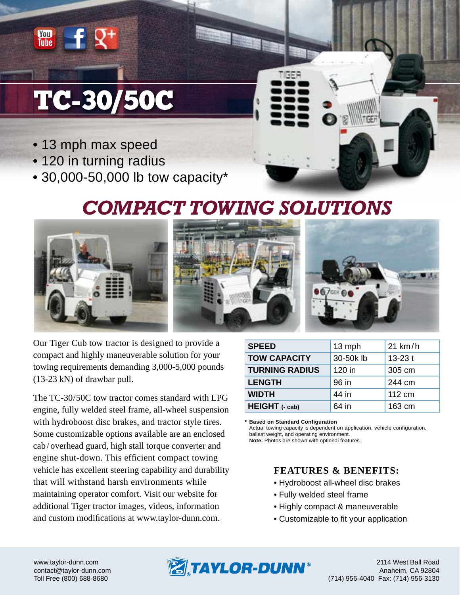

# TC-30/50C

- 13 mph max speed
- 120 in turning radius
- 30,000-50,000 lb tow capacity\*

### *COMPACT TOWING SOLUTIONS*



Our Tiger Cub tow tractor is designed to provide a compact and highly maneuverable solution for your towing requirements demanding 3,000-5,000 pounds (13-23 kN) of drawbar pull.

The TC-30/50C tow tractor comes standard with LPG engine, fully welded steel frame, all-wheel suspension with hydroboost disc brakes, and tractor style tires. Some customizable options available are an enclosed cab / overhead guard, high stall torque converter and engine shut-down. This efficient compact towing vehicle has excellent steering capability and durability that will withstand harsh environments while maintaining operator comfort. Visit our website for additional Tiger tractor images, videos, information and custom modifications at www.taylor-dunn.com.

| <b>SPEED</b>          | 13 mph   | 21 km/h    |
|-----------------------|----------|------------|
| <b>TOW CAPACITY</b>   | 30-50klb | $13 - 23t$ |
| <b>TURNING RADIUS</b> | 120 in   | 305 cm     |
| <b>LENGTH</b>         | 96 in    | 244 cm     |
| <b>WIDTH</b>          | 44 in    | 112 cm     |
| HEIGHT (- cab)        | 64 in    | 163 cm     |

**\* Based on Standard Configuration** Actual towing capacity is dependent on application, vehicle configuration, ballast weight, and operating environment. **Note:** Photos are shown with optional features.

#### **FEATURES & BENEFITS:**

- Hydroboost all-wheel disc brakes
- Fully welded steel frame
- Highly compact & maneuverable
- Customizable to fit your application

www.taylor-dunn.com contact@taylor-dunn.com Toll Free (800) 688-8680



2114 West Ball Road Anaheim, CA 92804 (714) 956-4040 Fax: (714) 956-3130